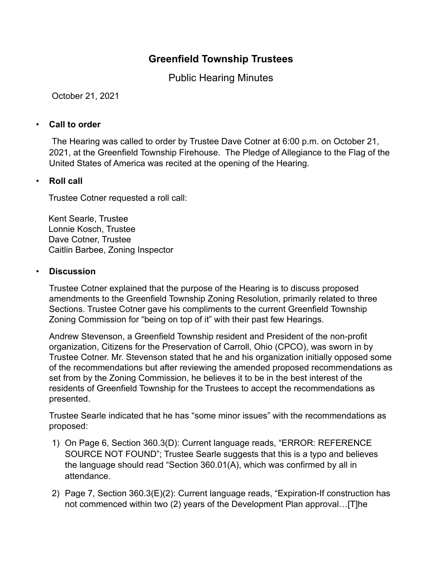# **Greenfield Township Trustees**

Public Hearing Minutes

October 21, 2021

#### • **Call to order**

The Hearing was called to order by Trustee Dave Cotner at 6:00 p.m. on October 21, 2021, at the Greenfield Township Firehouse. The Pledge of Allegiance to the Flag of the United States of America was recited at the opening of the Hearing.

### • **Roll call**

Trustee Cotner requested a roll call:

Kent Searle, Trustee Lonnie Kosch, Trustee Dave Cotner, Trustee Caitlin Barbee, Zoning Inspector

#### • **Discussion**

Trustee Cotner explained that the purpose of the Hearing is to discuss proposed amendments to the Greenfield Township Zoning Resolution, primarily related to three Sections. Trustee Cotner gave his compliments to the current Greenfield Township Zoning Commission for "being on top of it" with their past few Hearings.

Andrew Stevenson, a Greenfield Township resident and President of the non-profit organization, Citizens for the Preservation of Carroll, Ohio (CPCO), was sworn in by Trustee Cotner. Mr. Stevenson stated that he and his organization initially opposed some of the recommendations but after reviewing the amended proposed recommendations as set from by the Zoning Commission, he believes it to be in the best interest of the residents of Greenfield Township for the Trustees to accept the recommendations as presented.

Trustee Searle indicated that he has "some minor issues" with the recommendations as proposed:

- 1) On Page 6, Section 360.3(D): Current language reads, "ERROR: REFERENCE SOURCE NOT FOUND"; Trustee Searle suggests that this is a typo and believes the language should read "Section 360.01(A), which was confirmed by all in attendance.
- 2) Page 7, Section 360.3(E)(2): Current language reads, "Expiration-If construction has not commenced within two (2) years of the Development Plan approval…[T]he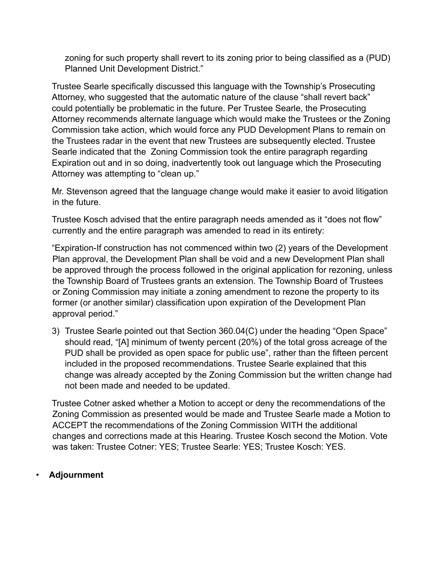zoning for such property shall revert to its zoning prior to being classified as a (PUD) Planned Unit Development District."

Trustee Searle specifically discussed this language with the Township's Prosecuting Attorney, who suggested that the automatic nature of the clause "shall revert back" could potentially be problematic in the future. Per Trustee Searle, the Prosecuting Attorney recommends alternate language which would make the Trustees or the Zoning Commission take action, which would force any PUD Development Plans to remain on the Trustees radar in the event that new Trustees are subsequently elected. Trustee Searle indicated that the Zoning Commission took the entire paragraph regarding Expiration out and in so doing, inadvertently took out language which the Prosecuting Attorney was attempting to "clean up."

Mr. Stevenson agreed that the language change would make it easier to avoid litigation in the future.

Trustee Kosch advised that the entire paragraph needs amended as it "does not flow" currently and the entire paragraph was amended to read in its entirety:

"Expiration-If construction has not commenced within two (2) years of the Development Plan approval, the Development Plan shall be void and a new Development Plan shall be approved through the process followed in the original application for rezoning, unless the Township Board of Trustees grants an extension. The Township Board of Trustees or Zoning Commission may initiate a zoning amendment to rezone the property to its former (or another similar) classification upon expiration of the Development Plan approval period."

3) Trustee Searle pointed out that Section 360.04(C) under the heading "Open Space" should read, "[A] minimum of twenty percent (20%) of the total gross acreage of the PUD shall be provided as open space for public use", rather than the fifteen percent included in the proposed recommendations. Trustee Searle explained that this change was already accepted by the Zoning Commission but the written change had not been made and needed to be updated.

Trustee Cotner asked whether a Motion to accept or deny the recommendations of the Zoning Commission as presented would be made and Trustee Searle made a Motion to ACCEPT the recommendations of the Zoning Commission WITH the additional changes and corrections made at this Hearing. Trustee Kosch second the Motion. Vote was taken: Trustee Cotner: YES; Trustee Searle: YES; Trustee Kosch: YES.

## • **Adjournment**